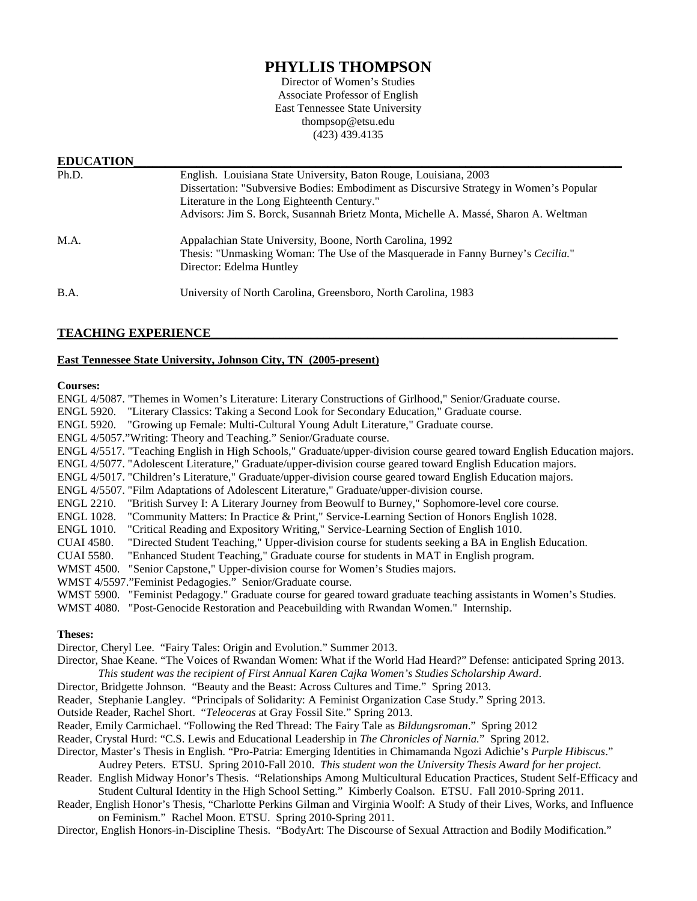# **PHYLLIS THOMPSON**

Director of Women's Studies Associate Professor of English East Tennessee State University thompsop@etsu.edu (423) 439.4135

## **EDUCATION**

| Ph.D. | English. Louisiana State University, Baton Rouge, Louisiana, 2003<br>Dissertation: "Subversive Bodies: Embodiment as Discursive Strategy in Women's Popular<br>Literature in the Long Eighteenth Century."<br>Advisors: Jim S. Borck, Susannah Brietz Monta, Michelle A. Massé, Sharon A. Weltman |
|-------|---------------------------------------------------------------------------------------------------------------------------------------------------------------------------------------------------------------------------------------------------------------------------------------------------|
| M.A.  | Appalachian State University, Boone, North Carolina, 1992<br>Thesis: "Unmasking Woman: The Use of the Masquerade in Fanny Burney's Cecilia."<br>Director: Edelma Huntley                                                                                                                          |
| B.A.  | University of North Carolina, Greensboro, North Carolina, 1983                                                                                                                                                                                                                                    |

# **TEACHING EXPERIENCE\_\_\_\_\_\_\_\_\_\_\_\_\_\_\_\_\_\_\_\_\_\_\_\_\_\_\_\_\_\_\_\_\_\_\_\_\_\_\_\_\_\_\_\_\_\_\_\_\_\_\_\_\_\_\_\_\_\_\_\_\_\_\_\_\_**

# **East Tennessee State University, Johnson City, TN (2005-present)**

#### **Courses:**

| ENGL 4/5087. "Themes in Women's Literature: Literary Constructions of Girlhood," Senior/Graduate course.                |  |
|-------------------------------------------------------------------------------------------------------------------------|--|
| ENGL 5920. "Literary Classics: Taking a Second Look for Secondary Education," Graduate course.                          |  |
| ENGL 5920. "Growing up Female: Multi-Cultural Young Adult Literature," Graduate course.                                 |  |
| ENGL 4/5057."Writing: Theory and Teaching." Senior/Graduate course.                                                     |  |
| ENGL 4/5517. "Teaching English in High Schools," Graduate/upper-division course geared toward English Education majors. |  |
| ENGL 4/5077. "Adolescent Literature," Graduate/upper-division course geared toward English Education majors.            |  |
| ENGL 4/5017. "Children's Literature," Graduate/upper-division course geared toward English Education majors.            |  |
| ENGL 4/5507. "Film Adaptations of Adolescent Literature," Graduate/upper-division course.                               |  |
| "British Survey I: A Literary Journey from Beowulf to Burney," Sophomore-level core course.<br>ENGL 2210.               |  |
| ENGL 1028. "Community Matters: In Practice & Print," Service-Learning Section of Honors English 1028.                   |  |
| "Critical Reading and Expository Writing," Service-Learning Section of English 1010.<br><b>ENGL 1010.</b>               |  |
| "Directed Student Teaching," Upper-division course for students seeking a BA in English Education.<br><b>CUAI 4580.</b> |  |
| "Enhanced Student Teaching," Graduate course for students in MAT in English program.<br><b>CUAI 5580.</b>               |  |
| WMST 4500. "Senior Capstone," Upper-division course for Women's Studies majors.                                         |  |
| WMST 4/5597." Feminist Pedagogies." Senior/Graduate course.                                                             |  |
| WMST 5900. "Feminist Pedagogy." Graduate course for geared toward graduate teaching assistants in Women's Studies.      |  |
| WMST 4080. "Post-Genocide Restoration and Peacebuilding with Rwandan Women." Internship.                                |  |
|                                                                                                                         |  |
| <b>Theses:</b>                                                                                                          |  |
| Director, Cheryl Lee. "Fairy Tales: Origin and Evolution." Summer 2013.                                                 |  |
| Director, Shae Keane. "The Voices of Rwandan Women: What if the World Had Heard?" Defense: anticipated Spring 2013.     |  |
| This student was the recipient of First Annual Karen Cajka Women's Studies Scholarship Award.                           |  |
| Director, Bridgette Johnson. "Beauty and the Beast: Across Cultures and Time." Spring 2013.                             |  |
| Reader, Stephanie Langley. "Principals of Solidarity: A Feminist Organization Case Study." Spring 2013.                 |  |
| Outside Reader, Rachel Short. "Teleoceras at Gray Fossil Site." Spring 2013.                                            |  |

Reader, Emily Carmichael. "Following the Red Thread: The Fairy Tale as *Bildungsroman*." Spring 2012

Reader, Crystal Hurd: "C.S. Lewis and Educational Leadership in *The Chronicles of Narnia.*" Spring 2012.

Director, Master's Thesis in English. "Pro-Patria: Emerging Identities in Chimamanda Ngozi Adichie's *Purple Hibiscus*." Audrey Peters. ETSU. Spring 2010-Fall 2010. *This student won the University Thesis Award for her project.*

Reader. English Midway Honor's Thesis. "Relationships Among Multicultural Education Practices, Student Self-Efficacy and Student Cultural Identity in the High School Setting." Kimberly Coalson. ETSU. Fall 2010-Spring 2011.

Reader, English Honor's Thesis, "Charlotte Perkins Gilman and Virginia Woolf: A Study of their Lives, Works, and Influence on Feminism." Rachel Moon. ETSU. Spring 2010-Spring 2011.

Director, English Honors-in-Discipline Thesis. "BodyArt: The Discourse of Sexual Attraction and Bodily Modification."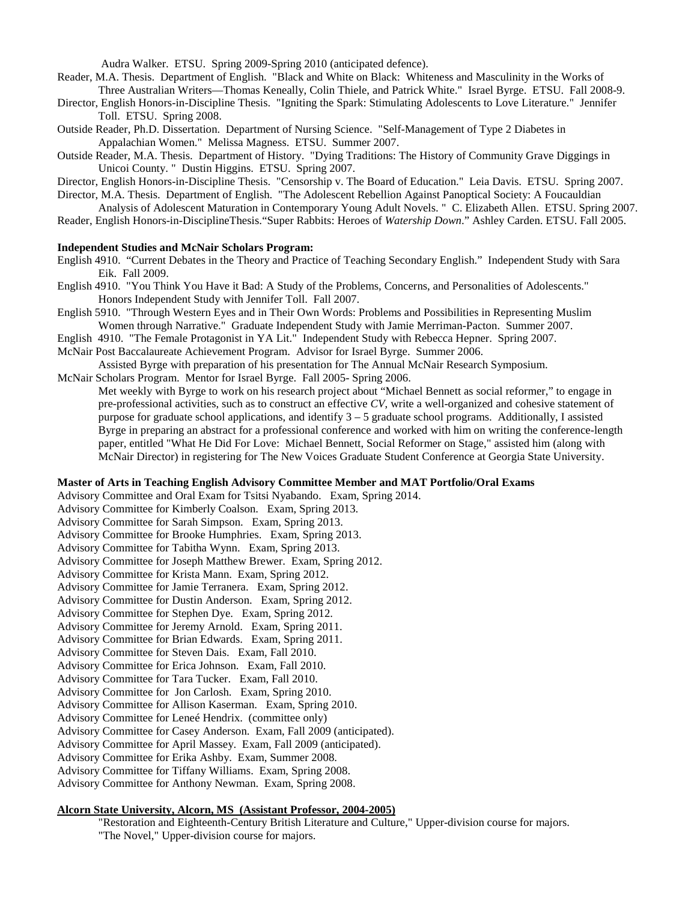Audra Walker. ETSU. Spring 2009-Spring 2010 (anticipated defence).

Reader, M.A. Thesis. Department of English. "Black and White on Black: Whiteness and Masculinity in the Works of Three Australian Writers—Thomas Keneally, Colin Thiele, and Patrick White." Israel Byrge. ETSU. Fall 2008-9.

Director, English Honors-in-Discipline Thesis. "Igniting the Spark: Stimulating Adolescents to Love Literature." Jennifer Toll. ETSU. Spring 2008.

- Outside Reader, Ph.D. Dissertation. Department of Nursing Science. "Self-Management of Type 2 Diabetes in Appalachian Women." Melissa Magness. ETSU. Summer 2007.
- Outside Reader, M.A. Thesis. Department of History. "Dying Traditions: The History of Community Grave Diggings in Unicoi County. " Dustin Higgins. ETSU. Spring 2007.

Director, English Honors-in-Discipline Thesis. "Censorship v. The Board of Education." Leia Davis. ETSU. Spring 2007.

Director, M.A. Thesis. Department of English. "The Adolescent Rebellion Against Panoptical Society: A Foucauldian

Analysis of Adolescent Maturation in Contemporary Young Adult Novels. " C. Elizabeth Allen. ETSU. Spring 2007.

Reader, English Honors-in-DisciplineThesis."Super Rabbits: Heroes of *Watership Down*." Ashley Carden. ETSU. Fall 2005.

#### **Independent Studies and McNair Scholars Program:**

- English 4910. "Current Debates in the Theory and Practice of Teaching Secondary English." Independent Study with Sara Eik. Fall 2009.
- English 4910. "You Think You Have it Bad: A Study of the Problems, Concerns, and Personalities of Adolescents." Honors Independent Study with Jennifer Toll. Fall 2007.
- English 5910. "Through Western Eyes and in Their Own Words: Problems and Possibilities in Representing Muslim Women through Narrative." Graduate Independent Study with Jamie Merriman-Pacton. Summer 2007.
- English 4910. "The Female Protagonist in YA Lit." Independent Study with Rebecca Hepner. Spring 2007.
- McNair Post Baccalaureate Achievement Program. Advisor for Israel Byrge. Summer 2006.

Assisted Byrge with preparation of his presentation for The Annual McNair Research Symposium.

McNair Scholars Program. Mentor for Israel Byrge. Fall 2005- Spring 2006.

Met weekly with Byrge to work on his research project about "Michael Bennett as social reformer," to engage in pre-professional activities, such as to construct an effective *CV*, write a well-organized and cohesive statement of purpose for graduate school applications, and identify 3 – 5 graduate school programs. Additionally, I assisted Byrge in preparing an abstract for a professional conference and worked with him on writing the conference-length paper, entitled "What He Did For Love: Michael Bennett, Social Reformer on Stage," assisted him (along with McNair Director) in registering for The New Voices Graduate Student Conference at Georgia State University.

#### **Master of Arts in Teaching English Advisory Committee Member and MAT Portfolio/Oral Exams**

Advisory Committee and Oral Exam for Tsitsi Nyabando. Exam, Spring 2014.

Advisory Committee for Kimberly Coalson. Exam, Spring 2013.

Advisory Committee for Sarah Simpson. Exam, Spring 2013.

Advisory Committee for Brooke Humphries. Exam, Spring 2013.

Advisory Committee for Tabitha Wynn. Exam, Spring 2013.

Advisory Committee for Joseph Matthew Brewer. Exam, Spring 2012.

Advisory Committee for Krista Mann. Exam, Spring 2012.

- Advisory Committee for Jamie Terranera. Exam, Spring 2012.
- Advisory Committee for Dustin Anderson. Exam, Spring 2012.
- Advisory Committee for Stephen Dye. Exam, Spring 2012.
- Advisory Committee for Jeremy Arnold. Exam, Spring 2011.
- Advisory Committee for Brian Edwards. Exam, Spring 2011.
- Advisory Committee for Steven Dais. Exam, Fall 2010.
- Advisory Committee for Erica Johnson. Exam, Fall 2010.
- Advisory Committee for Tara Tucker. Exam, Fall 2010.
- Advisory Committee for Jon Carlosh. Exam, Spring 2010.
- Advisory Committee for Allison Kaserman. Exam, Spring 2010.
- Advisory Committee for Leneé Hendrix. (committee only)

Advisory Committee for Casey Anderson. Exam, Fall 2009 (anticipated).

Advisory Committee for April Massey. Exam, Fall 2009 (anticipated).

Advisory Committee for Erika Ashby. Exam, Summer 2008.

Advisory Committee for Tiffany Williams. Exam, Spring 2008.

Advisory Committee for Anthony Newman. Exam, Spring 2008.

# **Alcorn State University, Alcorn, MS (Assistant Professor, 2004-2005)**

"Restoration and Eighteenth-Century British Literature and Culture," Upper-division course for majors. "The Novel," Upper-division course for majors.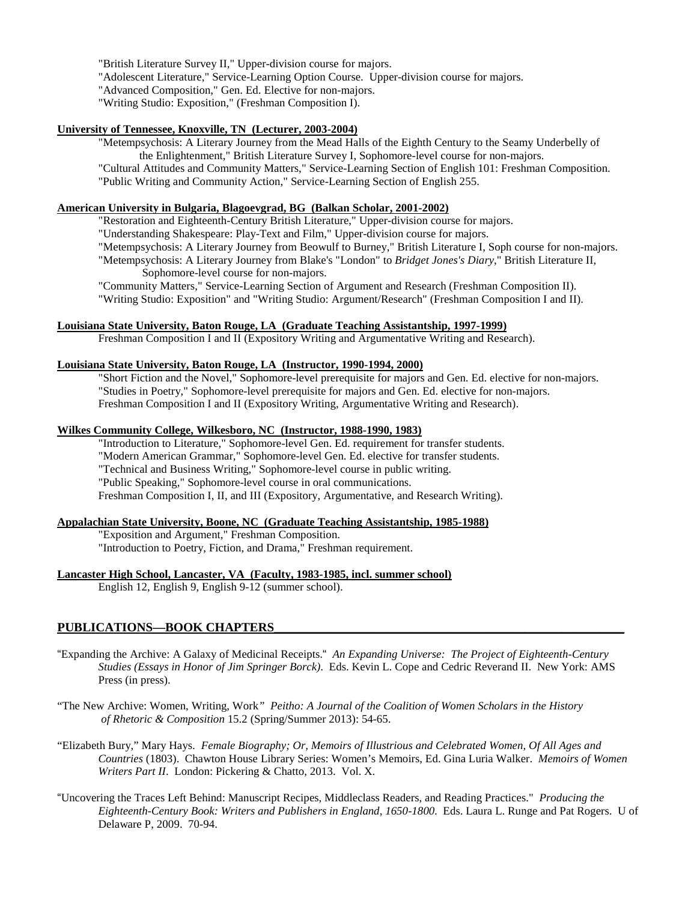"British Literature Survey II," Upper-division course for majors.

"Adolescent Literature," Service-Learning Option Course. Upper-division course for majors.

"Advanced Composition," Gen. Ed. Elective for non-majors.

"Writing Studio: Exposition," (Freshman Composition I).

#### **University of Tennessee, Knoxville, TN (Lecturer, 2003-2004)**

"Metempsychosis: A Literary Journey from the Mead Halls of the Eighth Century to the Seamy Underbelly of the Enlightenment," British Literature Survey I, Sophomore-level course for non-majors. "Cultural Attitudes and Community Matters," Service-Learning Section of English 101: Freshman Composition. "Public Writing and Community Action," Service-Learning Section of English 255.

**American University in Bulgaria, Blagoevgrad, BG (Balkan Scholar, 2001-2002)**

"Restoration and Eighteenth-Century British Literature," Upper-division course for majors.

"Understanding Shakespeare: Play-Text and Film," Upper-division course for majors.

- "Metempsychosis: A Literary Journey from Beowulf to Burney," British Literature I, Soph course for non-majors.
- "Metempsychosis: A Literary Journey from Blake's "London" to *Bridget Jones's Diary*," British Literature II, Sophomore-level course for non-majors.

"Community Matters," Service-Learning Section of Argument and Research (Freshman Composition II). "Writing Studio: Exposition" and "Writing Studio: Argument/Research" (Freshman Composition I and II).

#### **Louisiana State University, Baton Rouge, LA (Graduate Teaching Assistantship, 1997-1999)**

Freshman Composition I and II (Expository Writing and Argumentative Writing and Research).

#### **Louisiana State University, Baton Rouge, LA (Instructor, 1990-1994, 2000)**

"Short Fiction and the Novel," Sophomore-level prerequisite for majors and Gen. Ed. elective for non-majors. "Studies in Poetry," Sophomore-level prerequisite for majors and Gen. Ed. elective for non-majors. Freshman Composition I and II (Expository Writing, Argumentative Writing and Research).

#### **Wilkes Community College, Wilkesboro, NC (Instructor, 1988-1990, 1983)**

"Introduction to Literature," Sophomore-level Gen. Ed. requirement for transfer students. "Modern American Grammar," Sophomore-level Gen. Ed. elective for transfer students. "Technical and Business Writing," Sophomore-level course in public writing. "Public Speaking," Sophomore-level course in oral communications. Freshman Composition I, II, and III (Expository, Argumentative, and Research Writing).

#### **Appalachian State University, Boone, NC (Graduate Teaching Assistantship, 1985-1988)**

"Exposition and Argument," Freshman Composition. "Introduction to Poetry, Fiction, and Drama," Freshman requirement.

#### **Lancaster High School, Lancaster, VA (Faculty, 1983-1985, incl. summer school)**

English 12, English 9, English 9-12 (summer school).

#### PUBLICATIONS-BOOK CHAPTERS

"Expanding the Archive: A Galaxy of Medicinal Receipts." *An Expanding Universe: The Project of Eighteenth-Century Studies (Essays in Honor of Jim Springer Borck)*. Eds. Kevin L. Cope and Cedric Reverand II. New York: AMS Press (in press).

"The New Archive: Women, Writing, Work*" Peitho: A Journal of the Coalition of Women Scholars in the History of Rhetoric & Composition* 15.2 (Spring/Summer 2013): 54-65.

- "Elizabeth Bury," Mary Hays. *Female Biography; Or, Memoirs of Illustrious and Celebrated Women, Of All Ages and Countries* (1803). Chawton House Library Series: Women's Memoirs, Ed. Gina Luria Walker. *Memoirs of Women Writers Part II*. London: Pickering & Chatto, 2013. Vol. X.
- "Uncovering the Traces Left Behind: Manuscript Recipes, Middleclass Readers, and Reading Practices." *Producing the Eighteenth-Century Book: Writers and Publishers in England, 1650-1800*. Eds. Laura L. Runge and Pat Rogers. U of Delaware P, 2009. 70-94.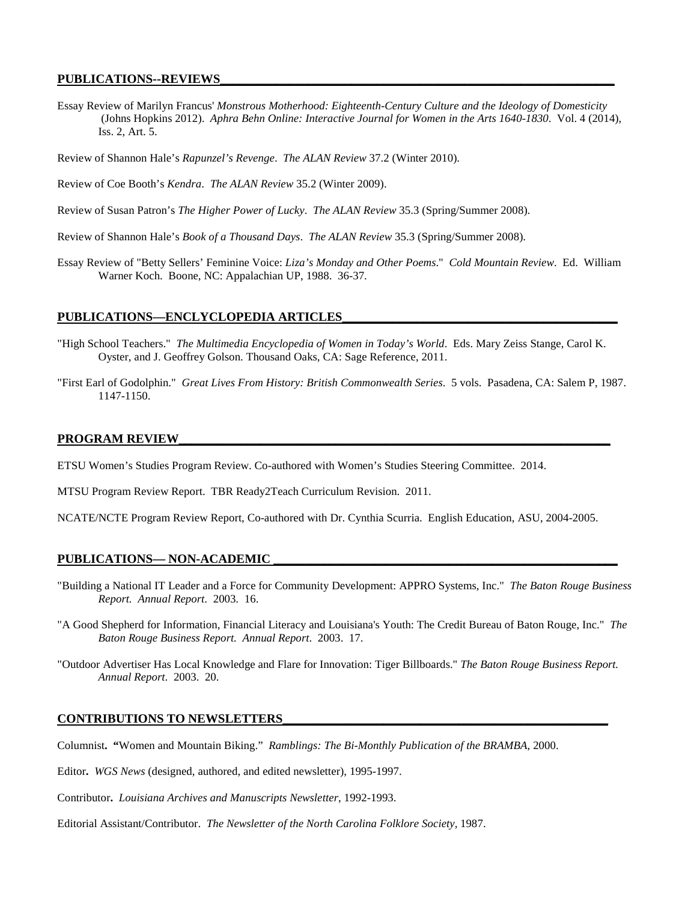## **PUBLICATIONS--REVIEWS\_\_\_\_\_\_\_\_\_\_\_\_\_\_\_\_\_\_\_\_\_\_\_\_\_\_\_\_\_\_\_\_\_\_\_\_\_\_\_\_\_\_\_\_\_\_\_\_\_\_\_\_\_\_\_\_\_\_\_\_\_\_\_**

Essay Review of Marilyn Francus' *Monstrous Motherhood: Eighteenth-Century Culture and the Ideology of Domesticity* (Johns Hopkins 2012). *Aphra Behn Online: Interactive Journal for Women in the Arts 1640-1830*. Vol. 4 (2014), Iss. 2, Art. 5.

Review of Shannon Hale's *Rapunzel's Revenge*. *The ALAN Review* 37.2 (Winter 2010).

Review of Coe Booth's *Kendra*. *The ALAN Review* 35.2 (Winter 2009).

Review of Susan Patron's *The Higher Power of Lucky*. *The ALAN Review* 35.3 (Spring/Summer 2008).

Review of Shannon Hale's *Book of a Thousand Days*. *The ALAN Review* 35.3 (Spring/Summer 2008).

Essay Review of "Betty Sellers' Feminine Voice: *Liza's Monday and Other Poems*."*Cold Mountain Review*. Ed. William Warner Koch. Boone, NC: Appalachian UP, 1988. 36-37.

#### PUBLICATIONS—ENCLYCLOPEDIA ARTICLES

- "High School Teachers." *The Multimedia Encyclopedia of Women in Today's World*. Eds. Mary Zeiss Stange, Carol K. Oyster, and J. Geoffrey Golson. Thousand Oaks, CA: Sage Reference, 2011.
- "First Earl of Godolphin."*Great Lives From History: British Commonwealth Series*. 5 vols. Pasadena, CA: Salem P, 1987. 1147-1150.

#### PROGRAM REVIEW

ETSU Women's Studies Program Review. Co-authored with Women's Studies Steering Committee. 2014.

MTSU Program Review Report. TBR Ready2Teach Curriculum Revision. 2011.

NCATE/NCTE Program Review Report, Co-authored with Dr. Cynthia Scurria. English Education, ASU, 2004-2005.

#### **PUBLICATIONS— NON-ACADEMIC \_\_\_\_\_\_\_\_\_\_\_\_\_\_\_\_\_\_\_\_\_\_\_\_\_\_\_\_\_\_\_\_\_\_\_\_\_\_\_\_\_\_\_\_\_\_\_\_\_\_\_\_\_\_\_**

- "Building a National IT Leader and a Force for Community Development: APPRO Systems, Inc."*The Baton Rouge Business Report. Annual Report*. 2003. 16.
- "A Good Shepherd for Information, Financial Literacy and Louisiana's Youth: The Credit Bureau of Baton Rouge, Inc."*The Baton Rouge Business Report. Annual Report*. 2003. 17.
- "Outdoor Advertiser Has Local Knowledge and Flare for Innovation: Tiger Billboards." *The Baton Rouge Business Report. Annual Report*. 2003. 20.

#### **CONTRIBUTIONS TO NEWSLETTERS\_\_\_\_\_\_\_\_\_\_\_\_\_\_\_\_\_\_\_\_\_\_\_\_\_\_\_\_\_\_\_\_\_\_\_\_\_\_\_\_\_\_\_\_\_\_\_\_\_\_\_\_**

Columnist**. "**Women and Mountain Biking." *Ramblings: The Bi-Monthly Publication of the BRAMBA*, 2000.

Editor**.** *WGS News* (designed, authored, and edited newsletter), 1995-1997.

Contributor**.** *Louisiana Archives and Manuscripts Newsletter*, 1992-1993.

Editorial Assistant/Contributor.*The Newsletter of the North Carolina Folklore Society,* 1987.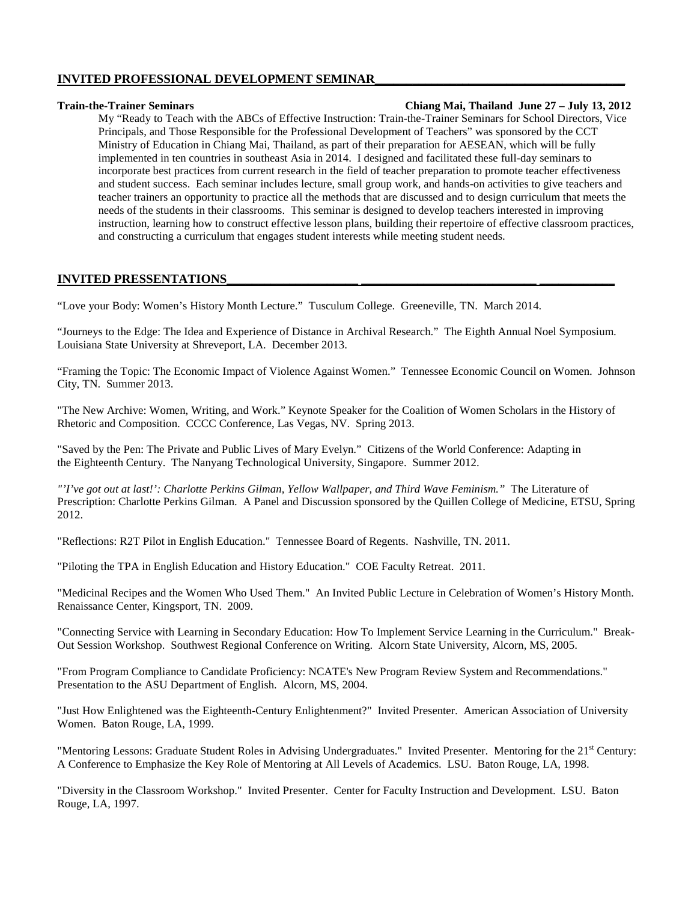# **INVITED PROFESSIONAL DEVELOPMENT SEMINAR\_\_\_\_\_\_\_\_\_\_\_\_\_\_\_\_\_\_\_\_\_\_\_\_\_\_\_\_\_\_\_\_\_\_\_\_\_\_\_\_**

## **Train-the-Trainer Seminars Chiang Mai, Thailand June 27 – July 13, 2012**

My "Ready to Teach with the ABCs of Effective Instruction: Train-the-Trainer Seminars for School Directors, Vice Principals, and Those Responsible for the Professional Development of Teachers" was sponsored by the CCT Ministry of Education in Chiang Mai, Thailand, as part of their preparation for AESEAN, which will be fully implemented in ten countries in southeast Asia in 2014. I designed and facilitated these full-day seminars to incorporate best practices from current research in the field of teacher preparation to promote teacher effectiveness and student success. Each seminar includes lecture, small group work, and hands-on activities to give teachers and teacher trainers an opportunity to practice all the methods that are discussed and to design curriculum that meets the needs of the students in their classrooms. This seminar is designed to develop teachers interested in improving instruction, learning how to construct effective lesson plans, building their repertoire of effective classroom practices, and constructing a curriculum that engages student interests while meeting student needs.

# **INVITED PRESSENTATIONS\_\_\_\_\_\_\_\_\_\_\_\_\_\_\_\_\_\_\_\_\_ \_\_\_\_\_\_\_\_\_\_\_\_\_\_\_\_\_\_\_\_\_\_\_\_\_\_\_\_ \_\_\_\_\_\_\_\_\_\_\_\_**

"Love your Body: Women's History Month Lecture." Tusculum College. Greeneville, TN. March 2014.

"Journeys to the Edge: The Idea and Experience of Distance in Archival Research." The Eighth Annual Noel Symposium. Louisiana State University at Shreveport, LA. December 2013.

"Framing the Topic: The Economic Impact of Violence Against Women." Tennessee Economic Council on Women. Johnson City, TN. Summer 2013.

"The New Archive: Women, Writing, and Work." Keynote Speaker for the Coalition of Women Scholars in the History of Rhetoric and Composition. CCCC Conference, Las Vegas, NV. Spring 2013.

"Saved by the Pen: The Private and Public Lives of Mary Evelyn." Citizens of the World Conference: Adapting in the Eighteenth Century. The Nanyang Technological University, Singapore. Summer 2012.

*"'I've got out at last!': Charlotte Perkins Gilman, Yellow Wallpaper, and Third Wave Feminism."* The Literature of Prescription: Charlotte Perkins Gilman. A Panel and Discussion sponsored by the Quillen College of Medicine, ETSU, Spring 2012.

"Reflections: R2T Pilot in English Education." Tennessee Board of Regents. Nashville, TN. 2011.

"Piloting the TPA in English Education and History Education." COE Faculty Retreat. 2011.

"Medicinal Recipes and the Women Who Used Them." An Invited Public Lecture in Celebration of Women's History Month. Renaissance Center, Kingsport, TN. 2009.

"Connecting Service with Learning in Secondary Education: How To Implement Service Learning in the Curriculum." Break-Out Session Workshop. Southwest Regional Conference on Writing. Alcorn State University, Alcorn, MS, 2005.

"From Program Compliance to Candidate Proficiency: NCATE's New Program Review System and Recommendations." Presentation to the ASU Department of English. Alcorn, MS, 2004.

"Just How Enlightened was the Eighteenth-Century Enlightenment?"Invited Presenter. American Association of University Women. Baton Rouge, LA, 1999.

"Mentoring Lessons: Graduate Student Roles in Advising Undergraduates." Invited Presenter. Mentoring for the 21<sup>st</sup> Century: A Conference to Emphasize the Key Role of Mentoring at All Levels of Academics. LSU. Baton Rouge, LA, 1998.

"Diversity in the Classroom Workshop." Invited Presenter. Center for Faculty Instruction and Development. LSU. Baton Rouge, LA, 1997.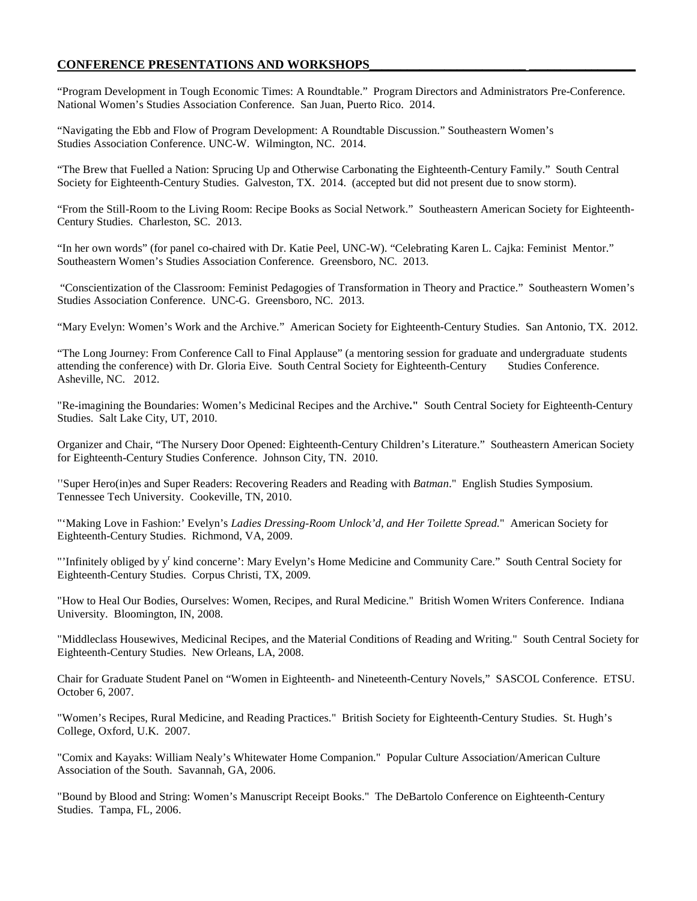# **CONFERENCE PRESENTATIONS AND WORKSHOPS\_\_\_\_\_\_\_\_\_\_\_\_\_\_\_\_\_\_\_\_\_\_\_\_\_ \_\_\_\_\_\_\_\_\_\_\_\_\_\_\_\_\_**

"Program Development in Tough Economic Times: A Roundtable." Program Directors and Administrators Pre-Conference. National Women's Studies Association Conference. San Juan, Puerto Rico. 2014.

"Navigating the Ebb and Flow of Program Development: A Roundtable Discussion." Southeastern Women's Studies Association Conference. UNC-W. Wilmington, NC. 2014.

"The Brew that Fuelled a Nation: Sprucing Up and Otherwise Carbonating the Eighteenth-Century Family." South Central Society for Eighteenth-Century Studies. Galveston, TX. 2014. (accepted but did not present due to snow storm).

"From the Still-Room to the Living Room: Recipe Books as Social Network." Southeastern American Society for Eighteenth-Century Studies. Charleston, SC. 2013.

"In her own words" (for panel co-chaired with Dr. Katie Peel, UNC-W). "Celebrating Karen L. Cajka: Feminist Mentor." Southeastern Women's Studies Association Conference. Greensboro, NC. 2013.

"Conscientization of the Classroom: Feminist Pedagogies of Transformation in Theory and Practice." Southeastern Women's Studies Association Conference. UNC-G. Greensboro, NC. 2013.

"Mary Evelyn: Women's Work and the Archive." American Society for Eighteenth-Century Studies. San Antonio, TX. 2012.

"The Long Journey: From Conference Call to Final Applause" (a mentoring session for graduate and undergraduate students attending the conference) with Dr. Gloria Eive. South Central Society for Eighteenth-Century Studies Conference. Asheville, NC. 2012.

"Re-imagining the Boundaries: Women's Medicinal Recipes and the Archive**."** South Central Society for Eighteenth-Century Studies. Salt Lake City, UT, 2010.

Organizer and Chair, "The Nursery Door Opened: Eighteenth-Century Children's Literature." Southeastern American Society for Eighteenth-Century Studies Conference. Johnson City, TN. 2010.

"Super Hero(in)es and Super Readers: Recovering Readers and Reading with *Batman*." English Studies Symposium. Tennessee Tech University. Cookeville, TN, 2010.

"'Making Love in Fashion:' Evelyn's *Ladies Dressing-Room Unlock'd, and Her Toilette Spread.*" American Society for Eighteenth-Century Studies. Richmond, VA, 2009.

"Infinitely obliged by y<sup>r</sup> kind concerne': Mary Evelyn's Home Medicine and Community Care." South Central Society for Eighteenth-Century Studies. Corpus Christi, TX, 2009.

"How to Heal Our Bodies, Ourselves: Women, Recipes, and Rural Medicine." British Women Writers Conference. Indiana University. Bloomington, IN, 2008.

"Middleclass Housewives, Medicinal Recipes, and the Material Conditions of Reading and Writing." South Central Society for Eighteenth-Century Studies. New Orleans, LA, 2008.

Chair for Graduate Student Panel on "Women in Eighteenth- and Nineteenth-Century Novels," SASCOL Conference. ETSU. October 6, 2007.

"Women's Recipes, Rural Medicine, and Reading Practices." British Society for Eighteenth-Century Studies. St. Hugh's College, Oxford, U.K. 2007.

"Comix and Kayaks: William Nealy's Whitewater Home Companion." Popular Culture Association/American Culture Association of the South. Savannah, GA, 2006.

"Bound by Blood and String: Women's Manuscript Receipt Books." The DeBartolo Conference on Eighteenth-Century Studies. Tampa, FL, 2006.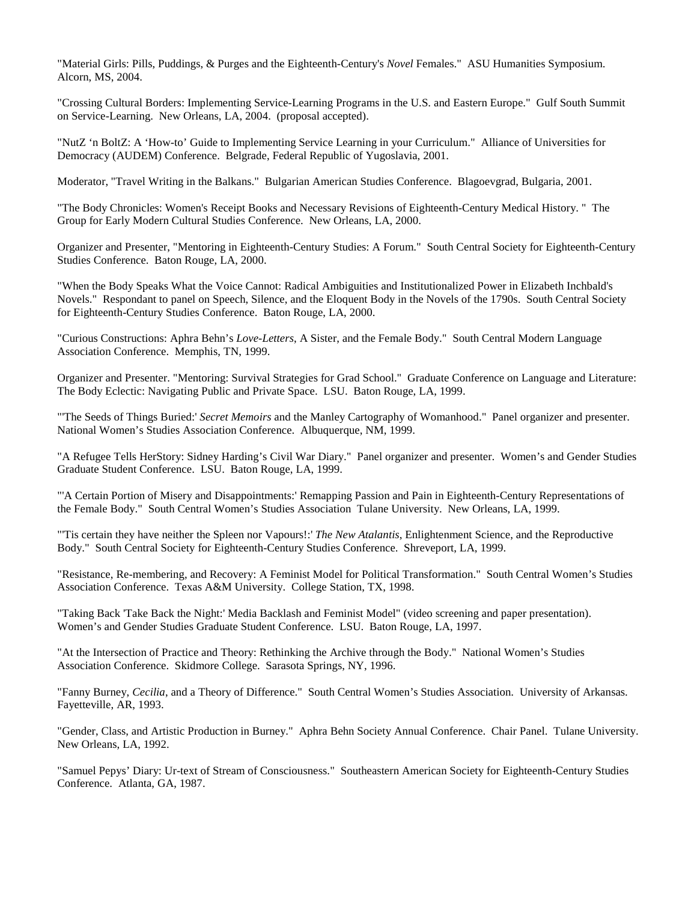"Material Girls: Pills, Puddings, & Purges and the Eighteenth-Century's *Novel* Females." ASU Humanities Symposium. Alcorn, MS, 2004.

"Crossing Cultural Borders: Implementing Service-Learning Programs in the U.S. and Eastern Europe." Gulf South Summit on Service-Learning. New Orleans, LA, 2004. (proposal accepted).

"NutZ 'n BoltZ: A 'How-to' Guide to Implementing Service Learning in your Curriculum." Alliance of Universities for Democracy (AUDEM) Conference. Belgrade, Federal Republic of Yugoslavia, 2001.

Moderator, "Travel Writing in the Balkans." Bulgarian American Studies Conference. Blagoevgrad, Bulgaria, 2001.

"The Body Chronicles: Women's Receipt Books and Necessary Revisions of Eighteenth-Century Medical History. "The Group for Early Modern Cultural Studies Conference. New Orleans, LA, 2000.

Organizer and Presenter, "Mentoring in Eighteenth-Century Studies: A Forum." South Central Society for Eighteenth-Century Studies Conference. Baton Rouge, LA, 2000.

"When the Body Speaks What the Voice Cannot: Radical Ambiguities and Institutionalized Power in Elizabeth Inchbald's Novels." Respondant to panel on Speech, Silence, and the Eloquent Body in the Novels of the 1790s. South Central Society for Eighteenth-Century Studies Conference. Baton Rouge, LA, 2000.

"Curious Constructions: Aphra Behn's *Love-Letters*, A Sister, and the Female Body."South Central Modern Language Association Conference. Memphis, TN, 1999.

Organizer and Presenter. "Mentoring: Survival Strategies for Grad School." Graduate Conference on Language and Literature: The Body Eclectic: Navigating Public and Private Space. LSU. Baton Rouge, LA, 1999.

"'The Seeds of Things Buried:' *Secret Memoirs* and the Manley Cartography of Womanhood." Panel organizer and presenter. National Women's Studies Association Conference. Albuquerque, NM, 1999.

"A Refugee Tells HerStory: Sidney Harding's Civil War Diary." Panel organizer and presenter. Women's and Gender Studies Graduate Student Conference. LSU. Baton Rouge, LA, 1999.

"'A Certain Portion of Misery and Disappointments:' Remapping Passion and Pain in Eighteenth-Century Representations of the Female Body." South Central Women's Studies Association Tulane University. New Orleans, LA, 1999.

"'Tis certain they have neither the Spleen nor Vapours!:' *The New Atalantis*, Enlightenment Science, and the Reproductive Body." South Central Society for Eighteenth-Century Studies Conference. Shreveport, LA, 1999.

"Resistance, Re-membering, and Recovery: A Feminist Model for Political Transformation." South Central Women's Studies Association Conference. Texas A&M University. College Station, TX, 1998.

"Taking Back 'Take Back the Night:' Media Backlash and Feminist Model" (video screening and paper presentation). Women's and Gender Studies Graduate Student Conference. LSU. Baton Rouge, LA, 1997.

"At the Intersection of Practice and Theory: Rethinking the Archive through the Body." National Women's Studies Association Conference. Skidmore College. Sarasota Springs, NY, 1996.

"Fanny Burney, *Cecilia*, and a Theory of Difference." South Central Women's Studies Association. University of Arkansas. Fayetteville, AR, 1993.

"Gender, Class, and Artistic Production in Burney." Aphra Behn Society Annual Conference. Chair Panel. Tulane University. New Orleans, LA, 1992.

"Samuel Pepys' Diary: Ur-text of Stream of Consciousness." Southeastern American Society for Eighteenth-Century Studies Conference. Atlanta, GA, 1987.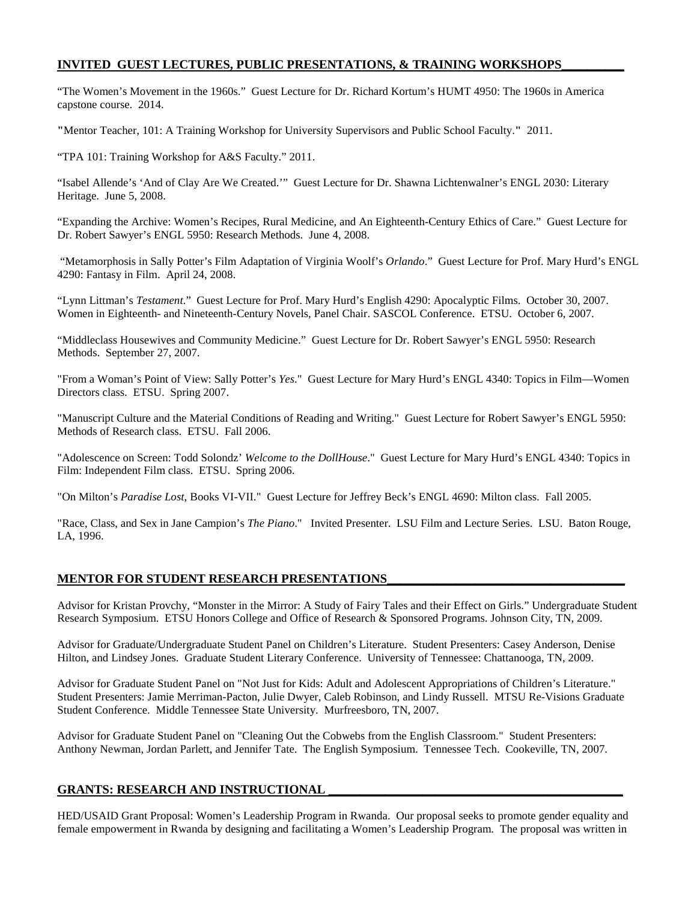# **INVITED GUEST LECTURES, PUBLIC PRESENTATIONS, & TRAINING WORKSHOPS\_\_\_\_\_\_\_\_\_\_**

"The Women's Movement in the 1960s." Guest Lecture for Dr. Richard Kortum's HUMT 4950: The 1960s in America capstone course. 2014.

**"**Mentor Teacher, 101: A Training Workshop for University Supervisors and Public School Faculty.**"** 2011.

"TPA 101: Training Workshop for A&S Faculty." 2011.

"Isabel Allende's 'And of Clay Are We Created.'" Guest Lecture for Dr. Shawna Lichtenwalner's ENGL 2030: Literary Heritage. June 5, 2008.

"Expanding the Archive: Women's Recipes, Rural Medicine, and An Eighteenth-Century Ethics of Care." Guest Lecture for Dr. Robert Sawyer's ENGL 5950: Research Methods. June 4, 2008.

"Metamorphosis in Sally Potter's Film Adaptation of Virginia Woolf's *Orlando*." Guest Lecture for Prof. Mary Hurd's ENGL 4290: Fantasy in Film. April 24, 2008.

"Lynn Littman's *Testament*." Guest Lecture for Prof. Mary Hurd's English 4290: Apocalyptic Films. October 30, 2007. Women in Eighteenth- and Nineteenth-Century Novels, Panel Chair. SASCOL Conference. ETSU. October 6, 2007.

"Middleclass Housewives and Community Medicine." Guest Lecture for Dr. Robert Sawyer's ENGL 5950: Research Methods. September 27, 2007.

"From a Woman's Point of View: Sally Potter's *Yes*." Guest Lecture for Mary Hurd's ENGL 4340: Topics in Film—Women Directors class. ETSU. Spring 2007.

"Manuscript Culture and the Material Conditions of Reading and Writing." Guest Lecture for Robert Sawyer's ENGL 5950: Methods of Research class. ETSU. Fall 2006.

"Adolescence on Screen: Todd Solondz' *Welcome to the DollHouse*." Guest Lecture for Mary Hurd's ENGL 4340: Topics in Film: Independent Film class. ETSU. Spring 2006.

"On Milton's *Paradise Lost*, Books VI-VII." Guest Lecture for Jeffrey Beck's ENGL 4690: Milton class. Fall 2005.

"Race, Class, and Sex in Jane Campion's *The Piano*." Invited Presenter. LSU Film and Lecture Series. LSU. Baton Rouge, LA, 1996.

# **MENTOR FOR STUDENT RESEARCH PRESENTATIONS**

Advisor for Kristan Provchy, "Monster in the Mirror: A Study of Fairy Tales and their Effect on Girls." Undergraduate Student Research Symposium. ETSU Honors College and Office of Research & Sponsored Programs. Johnson City, TN, 2009.

Advisor for Graduate/Undergraduate Student Panel on Children's Literature. Student Presenters: Casey Anderson, Denise Hilton, and Lindsey Jones. Graduate Student Literary Conference. University of Tennessee: Chattanooga, TN, 2009.

Advisor for Graduate Student Panel on "Not Just for Kids: Adult and Adolescent Appropriations of Children's Literature." Student Presenters: Jamie Merriman-Pacton, Julie Dwyer, Caleb Robinson, and Lindy Russell. MTSU Re-Visions Graduate Student Conference. Middle Tennessee State University. Murfreesboro, TN, 2007.

Advisor for Graduate Student Panel on "Cleaning Out the Cobwebs from the English Classroom." Student Presenters: Anthony Newman, Jordan Parlett, and Jennifer Tate. The English Symposium. Tennessee Tech. Cookeville, TN, 2007.

# **GRANTS: RESEARCH AND INSTRUCTIONAL \_\_\_\_\_\_\_\_\_\_\_\_\_\_\_\_\_\_\_\_\_\_\_\_\_\_\_\_\_\_\_\_\_\_\_\_\_\_\_\_\_\_\_\_\_\_\_**

HED/USAID Grant Proposal: Women's Leadership Program in Rwanda. Our proposal seeks to promote gender equality and female empowerment in Rwanda by designing and facilitating a Women's Leadership Program. The proposal was written in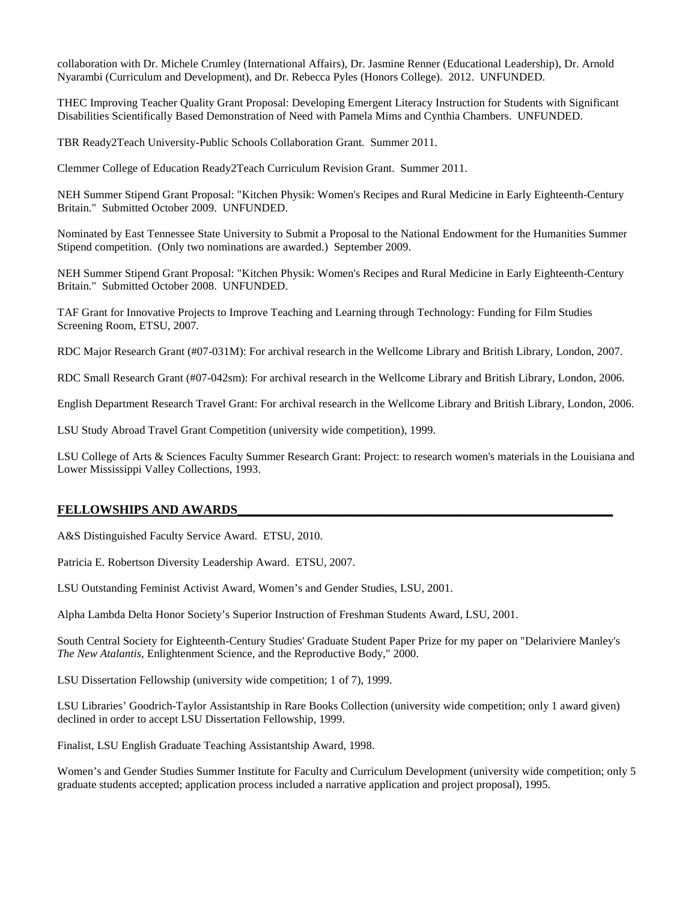collaboration with Dr. Michele Crumley (International Affairs), Dr. Jasmine Renner (Educational Leadership), Dr. Arnold Nyarambi (Curriculum and Development), and Dr. Rebecca Pyles (Honors College). 2012. UNFUNDED.

THEC Improving Teacher Quality Grant Proposal: Developing Emergent Literacy Instruction for Students with Significant Disabilities Scientifically Based Demonstration of Need with Pamela Mims and Cynthia Chambers. UNFUNDED.

TBR Ready2Teach University-Public Schools Collaboration Grant. Summer 2011.

Clemmer College of Education Ready2Teach Curriculum Revision Grant. Summer 2011.

NEH Summer Stipend Grant Proposal: "Kitchen Physik: Women's Recipes and Rural Medicine in Early Eighteenth-Century Britain." Submitted October 2009. UNFUNDED.

Nominated by East Tennessee State University to Submit a Proposal to the National Endowment for the Humanities Summer Stipend competition. (Only two nominations are awarded.) September 2009.

NEH Summer Stipend Grant Proposal: "Kitchen Physik: Women's Recipes and Rural Medicine in Early Eighteenth-Century Britain." Submitted October 2008. UNFUNDED.

TAF Grant for Innovative Projects to Improve Teaching and Learning through Technology: Funding for Film Studies Screening Room, ETSU, 2007.

RDC Major Research Grant (#07-031M): For archival research in the Wellcome Library and British Library, London, 2007.

RDC Small Research Grant (#07-042sm): For archival research in the Wellcome Library and British Library, London, 2006.

English Department Research Travel Grant: For archival research in the Wellcome Library and British Library, London, 2006.

LSU Study Abroad Travel Grant Competition (university wide competition), 1999.

LSU College of Arts & Sciences Faculty Summer Research Grant: Project: to research women's materials in the Louisiana and Lower Mississippi Valley Collections, 1993.

## **FELLOWSHIPS AND AWARDS\_\_\_\_\_\_\_\_\_\_\_\_\_\_\_\_\_\_\_\_\_\_\_\_\_\_\_\_\_\_\_\_\_\_\_\_\_\_\_\_\_\_\_\_\_\_\_\_\_\_\_\_\_\_\_\_\_\_\_\_**

A&S Distinguished Faculty Service Award. ETSU, 2010.

Patricia E. Robertson Diversity Leadership Award. ETSU, 2007.

LSU Outstanding Feminist Activist Award, Women's and Gender Studies, LSU, 2001.

Alpha Lambda Delta Honor Society's Superior Instruction of Freshman Students Award, LSU, 2001.

South Central Society for Eighteenth-Century Studies' Graduate Student Paper Prize for my paper on "Delariviere Manley's *The New Atalantis*, Enlightenment Science, and the Reproductive Body," 2000.

LSU Dissertation Fellowship (university wide competition; 1 of 7), 1999.

LSU Libraries' Goodrich-Taylor Assistantship in Rare Books Collection (university wide competition; only 1 award given) declined in order to accept LSU Dissertation Fellowship, 1999.

Finalist, LSU English Graduate Teaching Assistantship Award, 1998.

Women's and Gender Studies Summer Institute for Faculty and Curriculum Development (university wide competition; only 5 graduate students accepted; application process included a narrative application and project proposal), 1995.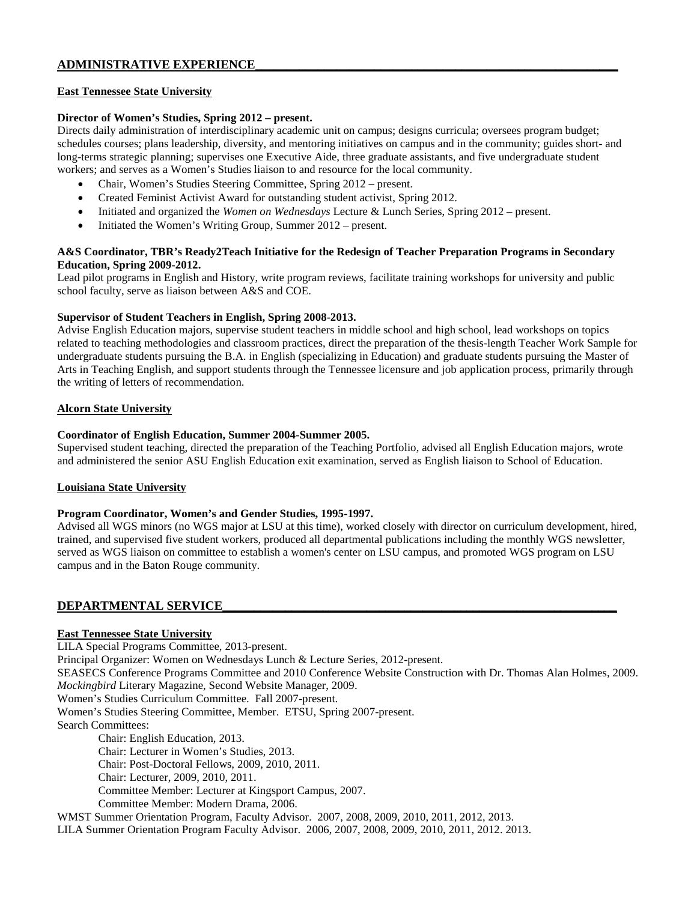# **ADMINISTRATIVE EXPERIENCE\_\_\_\_\_\_\_\_\_\_\_\_\_\_\_\_\_\_\_\_\_\_\_\_\_\_\_\_\_\_\_\_\_\_\_\_\_\_\_\_\_\_\_\_\_\_\_\_\_\_\_\_\_\_\_\_\_\_**

#### **East Tennessee State University**

#### **Director of Women's Studies, Spring 2012 – present.**

Directs daily administration of interdisciplinary academic unit on campus; designs curricula; oversees program budget; schedules courses; plans leadership, diversity, and mentoring initiatives on campus and in the community; guides short- and long-terms strategic planning; supervises one Executive Aide, three graduate assistants, and five undergraduate student workers; and serves as a Women's Studies liaison to and resource for the local community.

- Chair, Women's Studies Steering Committee, Spring 2012 present.
- Created Feminist Activist Award for outstanding student activist, Spring 2012.
- Initiated and organized the *Women on Wednesdays* Lecture & Lunch Series, Spring 2012 present.
- Initiated the Women's Writing Group, Summer 2012 present.

## **A&S Coordinator, TBR's Ready2Teach Initiative for the Redesign of Teacher Preparation Programs in Secondary Education, Spring 2009-2012.**

Lead pilot programs in English and History, write program reviews, facilitate training workshops for university and public school faculty, serve as liaison between A&S and COE.

## **Supervisor of Student Teachers in English, Spring 2008-2013.**

Advise English Education majors, supervise student teachers in middle school and high school, lead workshops on topics related to teaching methodologies and classroom practices, direct the preparation of the thesis-length Teacher Work Sample for undergraduate students pursuing the B.A. in English (specializing in Education) and graduate students pursuing the Master of Arts in Teaching English, and support students through the Tennessee licensure and job application process, primarily through the writing of letters of recommendation.

# **Alcorn State University**

## **Coordinator of English Education, Summer 2004-Summer 2005.**

Supervised student teaching, directed the preparation of the Teaching Portfolio, advised all English Education majors, wrote and administered the senior ASU English Education exit examination, served as English liaison to School of Education.

## **Louisiana State University**

## **Program Coordinator, Women's and Gender Studies, 1995-1997.**

Advised all WGS minors (no WGS major at LSU at this time), worked closely with director on curriculum development, hired, trained, and supervised five student workers, produced all departmental publications including the monthly WGS newsletter, served as WGS liaison on committee to establish a women's center on LSU campus, and promoted WGS program on LSU campus and in the Baton Rouge community.

# **DEPARTMENTAL SERVICE\_\_\_\_\_\_\_\_\_\_\_\_\_\_\_\_\_\_\_\_\_\_\_\_\_\_\_\_\_\_\_\_\_\_\_\_\_\_\_\_\_\_\_\_\_\_\_\_\_\_\_\_\_\_\_\_\_\_\_\_\_\_\_**

## **East Tennessee State University**

LILA Special Programs Committee, 2013-present. Principal Organizer: Women on Wednesdays Lunch & Lecture Series, 2012-present. SEASECS Conference Programs Committee and 2010 Conference Website Construction with Dr. Thomas Alan Holmes, 2009. *Mockingbird* Literary Magazine, Second Website Manager, 2009. Women's Studies Curriculum Committee. Fall 2007-present. Women's Studies Steering Committee, Member. ETSU, Spring 2007-present. Search Committees: Chair: English Education, 2013. Chair: Lecturer in Women's Studies, 2013. Chair: Post-Doctoral Fellows, 2009, 2010, 2011. Chair: Lecturer, 2009, 2010, 2011. Committee Member: Lecturer at Kingsport Campus, 2007. Committee Member: Modern Drama, 2006.

WMST Summer Orientation Program, Faculty Advisor. 2007, 2008, 2009, 2010, 2011, 2012, 2013.

LILA Summer Orientation Program Faculty Advisor. 2006, 2007, 2008, 2009, 2010, 2011, 2012. 2013.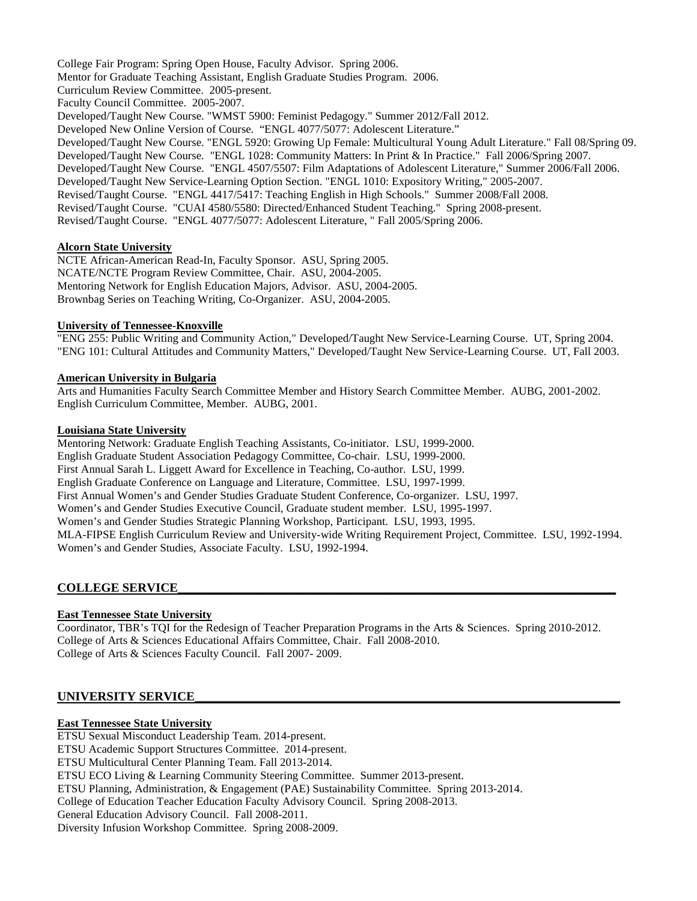College Fair Program: Spring Open House, Faculty Advisor. Spring 2006. Mentor for Graduate Teaching Assistant, English Graduate Studies Program. 2006. Curriculum Review Committee. 2005-present. Faculty Council Committee. 2005-2007. Developed/Taught New Course. "WMST 5900: Feminist Pedagogy." Summer 2012/Fall 2012. Developed New Online Version of Course. "ENGL 4077/5077: Adolescent Literature." Developed/Taught New Course. "ENGL 5920: Growing Up Female: Multicultural Young Adult Literature." Fall 08/Spring 09. Developed/Taught New Course. "ENGL 1028: Community Matters: In Print & In Practice." Fall 2006/Spring 2007. Developed/Taught New Course. "ENGL 4507/5507: Film Adaptations of Adolescent Literature," Summer 2006/Fall 2006. Developed/Taught New Service-Learning Option Section. "ENGL 1010: Expository Writing," 2005-2007. Revised/Taught Course. "ENGL 4417/5417: Teaching English in High Schools." Summer 2008/Fall 2008. Revised/Taught Course. "CUAI 4580/5580: Directed/Enhanced Student Teaching." Spring 2008-present. Revised/Taught Course. "ENGL 4077/5077: Adolescent Literature, " Fall 2005/Spring 2006.

## **Alcorn State University**

NCTE African-American Read-In, Faculty Sponsor. ASU, Spring 2005. NCATE/NCTE Program Review Committee, Chair. ASU, 2004-2005. Mentoring Network for English Education Majors, Advisor. ASU, 2004-2005. Brownbag Series on Teaching Writing, Co-Organizer. ASU, 2004-2005.

#### **University of Tennessee-Knoxville**

"ENG 255: Public Writing and Community Action," Developed/Taught New Service-Learning Course. UT, Spring 2004. "ENG 101: Cultural Attitudes and Community Matters," Developed/Taught New Service-Learning Course. UT, Fall 2003.

## **American University in Bulgaria**

Arts and Humanities Faculty Search Committee Member and History Search Committee Member. AUBG, 2001-2002. English Curriculum Committee, Member. AUBG, 2001.

#### **Louisiana State University**

Mentoring Network: Graduate English Teaching Assistants, Co-initiator. LSU, 1999-2000. English Graduate Student Association Pedagogy Committee, Co-chair. LSU, 1999-2000. First Annual Sarah L. Liggett Award for Excellence in Teaching, Co-author. LSU, 1999. English Graduate Conference on Language and Literature, Committee. LSU, 1997-1999. First Annual Women's and Gender Studies Graduate Student Conference, Co-organizer. LSU, 1997. Women's and Gender Studies Executive Council, Graduate student member. LSU, 1995-1997. Women's and Gender Studies Strategic Planning Workshop, Participant. LSU, 1993, 1995. MLA-FIPSE English Curriculum Review and University-wide Writing Requirement Project, Committee. LSU, 1992-1994. Women's and Gender Studies, Associate Faculty. LSU, 1992-1994.

## **COLLEGE SERVICE\_\_\_\_\_\_\_\_\_\_\_\_\_\_\_\_\_\_\_\_\_\_\_\_\_\_\_\_\_\_\_\_\_\_\_\_\_\_\_\_\_\_\_\_\_\_\_\_\_\_\_\_\_\_\_\_\_\_\_\_\_\_\_\_\_\_\_\_\_\_**

## **East Tennessee State University**

Coordinator, TBR's TQI for the Redesign of Teacher Preparation Programs in the Arts & Sciences. Spring 2010-2012. College of Arts & Sciences Educational Affairs Committee, Chair. Fall 2008-2010. College of Arts & Sciences Faculty Council. Fall 2007- 2009.

## UNIVERSITY SERVICE

#### **East Tennessee State University**

ETSU Sexual Misconduct Leadership Team. 2014-present.

ETSU Academic Support Structures Committee. 2014-present.

ETSU Multicultural Center Planning Team. Fall 2013-2014.

ETSU ECO Living & Learning Community Steering Committee. Summer 2013-present.

ETSU Planning, Administration, & Engagement (PAE) Sustainability Committee. Spring 2013-2014.

College of Education Teacher Education Faculty Advisory Council. Spring 2008-2013.

General Education Advisory Council. Fall 2008-2011.

Diversity Infusion Workshop Committee. Spring 2008-2009.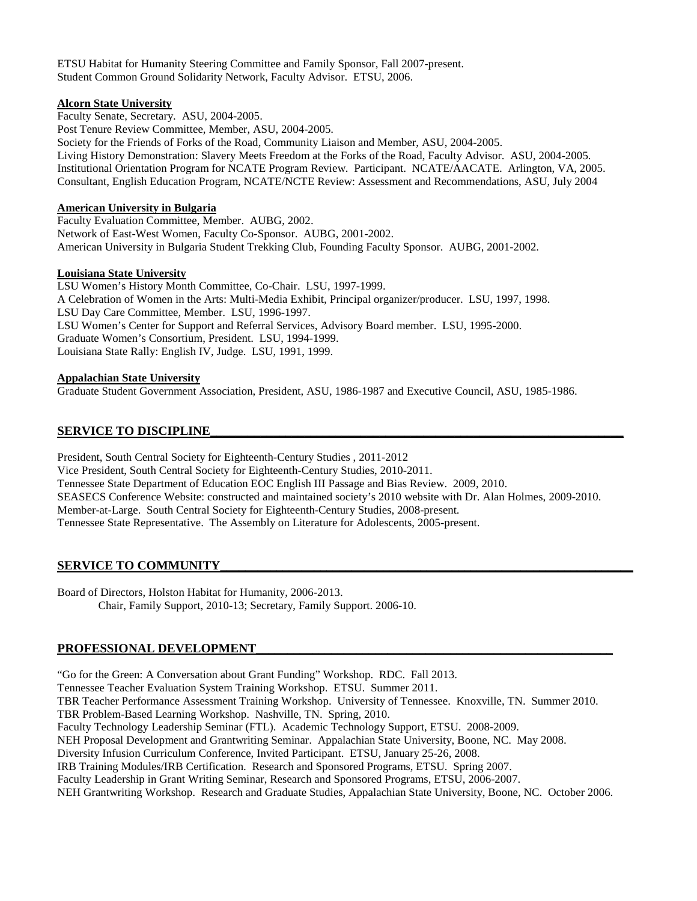ETSU Habitat for Humanity Steering Committee and Family Sponsor, Fall 2007-present. Student Common Ground Solidarity Network, Faculty Advisor. ETSU, 2006.

## **Alcorn State University**

Faculty Senate, Secretary. ASU, 2004-2005. Post Tenure Review Committee, Member, ASU, 2004-2005. Society for the Friends of Forks of the Road, Community Liaison and Member, ASU, 2004-2005. Living History Demonstration: Slavery Meets Freedom at the Forks of the Road, Faculty Advisor. ASU, 2004-2005. Institutional Orientation Program for NCATE Program Review. Participant. NCATE/AACATE. Arlington, VA, 2005. Consultant, English Education Program, NCATE/NCTE Review: Assessment and Recommendations, ASU, July 2004

# **American University in Bulgaria**

Faculty Evaluation Committee, Member. AUBG, 2002. Network of East-West Women, Faculty Co-Sponsor. AUBG, 2001-2002. American University in Bulgaria Student Trekking Club, Founding Faculty Sponsor. AUBG, 2001-2002.

# **Louisiana State University**

LSU Women's History Month Committee, Co-Chair. LSU, 1997-1999. A Celebration of Women in the Arts: Multi-Media Exhibit, Principal organizer/producer. LSU, 1997, 1998. LSU Day Care Committee, Member. LSU, 1996-1997. LSU Women's Center for Support and Referral Services, Advisory Board member. LSU, 1995-2000. Graduate Women's Consortium, President. LSU, 1994-1999. Louisiana State Rally: English IV, Judge. LSU, 1991, 1999.

# **Appalachian State University**

Graduate Student Government Association, President, ASU, 1986-1987 and Executive Council, ASU, 1985-1986.

# SERVICE TO DISCIPLINE

President, South Central Society for Eighteenth-Century Studies , 2011-2012 Vice President, South Central Society for Eighteenth-Century Studies, 2010-2011. Tennessee State Department of Education EOC English III Passage and Bias Review. 2009, 2010. SEASECS Conference Website: constructed and maintained society's 2010 website with Dr. Alan Holmes, 2009-2010. Member-at-Large. South Central Society for Eighteenth-Century Studies, 2008-present. Tennessee State Representative. The Assembly on Literature for Adolescents, 2005-present.

# SERVICE TO COMMUNITY

Board of Directors, Holston Habitat for Humanity, 2006-2013. Chair, Family Support, 2010-13; Secretary, Family Support. 2006-10.

# PROFESSIONAL DEVELOPMENT

"Go for the Green: A Conversation about Grant Funding" Workshop. RDC. Fall 2013. Tennessee Teacher Evaluation System Training Workshop. ETSU. Summer 2011. TBR Teacher Performance Assessment Training Workshop. University of Tennessee. Knoxville, TN. Summer 2010. TBR Problem-Based Learning Workshop. Nashville, TN. Spring, 2010. Faculty Technology Leadership Seminar (FTL). Academic Technology Support, ETSU. 2008-2009. NEH Proposal Development and Grantwriting Seminar. Appalachian State University, Boone, NC. May 2008. Diversity Infusion Curriculum Conference, Invited Participant. ETSU, January 25-26, 2008. IRB Training Modules/IRB Certification. Research and Sponsored Programs, ETSU. Spring 2007. Faculty Leadership in Grant Writing Seminar, Research and Sponsored Programs, ETSU, 2006-2007. NEH Grantwriting Workshop. Research and Graduate Studies, Appalachian State University, Boone, NC. October 2006.